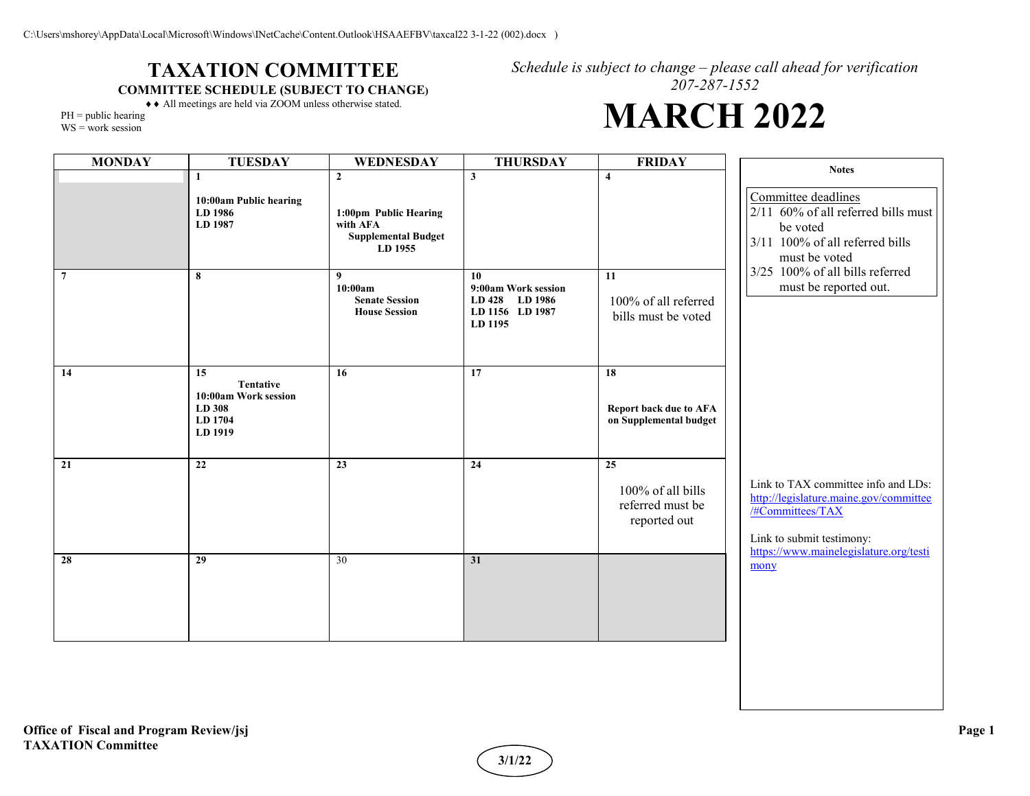## **TAXATION COMMITTEE COMMITTEE SCHEDULE (SUBJECT TO CHANGE)**

*Schedule is subject to change – please call ahead for verification 207-287-1552*

## **MARCH 2022**

♦♦ All meetings are held via ZOOM unless otherwise stated.  $PH = public hearing$ 

WS = work session

| <b>MONDAY</b>  | <b>TUESDAY</b>                                                          | WEDNESDAY                                                                  | <b>THURSDAY</b>                                                           | <b>FRIDAY</b>                                               | <b>Notes</b>                                                                                                                                                             |
|----------------|-------------------------------------------------------------------------|----------------------------------------------------------------------------|---------------------------------------------------------------------------|-------------------------------------------------------------|--------------------------------------------------------------------------------------------------------------------------------------------------------------------------|
|                | $\mathbf{1}$                                                            | $\overline{2}$                                                             | $\mathbf{3}$                                                              | $\overline{\mathbf{4}}$                                     |                                                                                                                                                                          |
|                | 10:00am Public hearing<br>LD 1986<br>LD 1987                            | 1:00pm Public Hearing<br>with AFA<br><b>Supplemental Budget</b><br>LD 1955 |                                                                           |                                                             | Committee deadlines<br>2/11 60% of all referred bills must<br>be voted<br>3/11 100% of all referred bills<br>must be voted                                               |
| $\overline{7}$ | 8                                                                       | 9<br>10:00am<br><b>Senate Session</b><br><b>House Session</b>              | 10<br>9:00am Work session<br>LD 428 LD 1986<br>LD 1156 LD 1987<br>LD 1195 | 11<br>100% of all referred<br>bills must be voted           | 3/25 100% of all bills referred<br>must be reported out.                                                                                                                 |
| 14             | 15<br>Tentative<br>10:00am Work session<br>LD 308<br>LD 1704<br>LD 1919 | 16                                                                         | 17                                                                        | 18<br>Report back due to AFA<br>on Supplemental budget      |                                                                                                                                                                          |
| 21             | 22                                                                      | 23                                                                         | 24                                                                        | 25<br>100% of all bills<br>referred must be<br>reported out | Link to TAX committee info and LDs:<br>http://legislature.maine.gov/committee<br>/#Committees/TAX<br>Link to submit testimony:<br>https://www.mainelegislature.org/testi |
| 28             | 29                                                                      | 30                                                                         | 31                                                                        |                                                             | mony                                                                                                                                                                     |